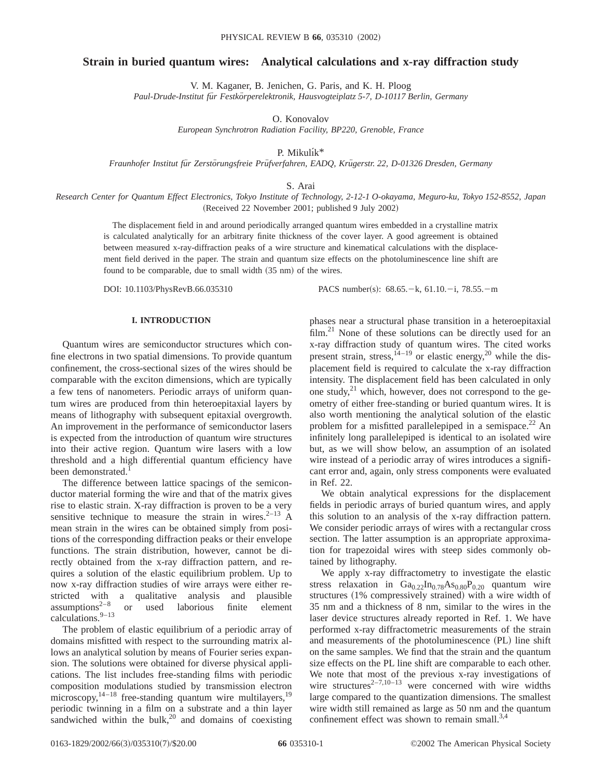# **Strain in buried quantum wires: Analytical calculations and x-ray diffraction study**

V. M. Kaganer, B. Jenichen, G. Paris, and K. H. Ploog

*Paul-Drude-Institut fu¨r Festko¨rperelektronik, Hausvogteiplatz 5-7, D-10117 Berlin, Germany*

O. Konovalov

*European Synchrotron Radiation Facility, BP220, Grenoble, France*

P. Mikulí $k^*$ 

*Fraunhofer Institut fu¨r Zersto¨rungsfreie Pru¨fverfahren, EADQ, Kru¨gerstr. 22, D-01326 Dresden, Germany*

S. Arai

*Research Center for Quantum Effect Electronics, Tokyo Institute of Technology, 2-12-1 O-okayama, Meguro-ku, Tokyo 152-8552, Japan* (Received 22 November 2001; published 9 July 2002)

The displacement field in and around periodically arranged quantum wires embedded in a crystalline matrix is calculated analytically for an arbitrary finite thickness of the cover layer. A good agreement is obtained between measured x-ray-diffraction peaks of a wire structure and kinematical calculations with the displacement field derived in the paper. The strain and quantum size effects on the photoluminescence line shift are found to be comparable, due to small width  $(35 \text{ nm})$  of the wires.

DOI: 10.1103/PhysRevB.66.035310 PACS number(s): 68.65. - k, 61.10. - i, 78.55. - m

# **I. INTRODUCTION**

Quantum wires are semiconductor structures which confine electrons in two spatial dimensions. To provide quantum confinement, the cross-sectional sizes of the wires should be comparable with the exciton dimensions, which are typically a few tens of nanometers. Periodic arrays of uniform quantum wires are produced from thin heteroepitaxial layers by means of lithography with subsequent epitaxial overgrowth. An improvement in the performance of semiconductor lasers is expected from the introduction of quantum wire structures into their active region. Quantum wire lasers with a low threshold and a high differential quantum efficiency have been demonstrated.<sup>1</sup>

The difference between lattice spacings of the semiconductor material forming the wire and that of the matrix gives rise to elastic strain. X-ray diffraction is proven to be a very sensitive technique to measure the strain in wires. $2-13$  A mean strain in the wires can be obtained simply from positions of the corresponding diffraction peaks or their envelope functions. The strain distribution, however, cannot be directly obtained from the x-ray diffraction pattern, and requires a solution of the elastic equilibrium problem. Up to now x-ray diffraction studies of wire arrays were either restricted with a qualitative analysis and plausible  $assumptions<sup>2-8</sup>$  or used laborious finite element calculations.9–13

The problem of elastic equilibrium of a periodic array of domains misfitted with respect to the surrounding matrix allows an analytical solution by means of Fourier series expansion. The solutions were obtained for diverse physical applications. The list includes free-standing films with periodic composition modulations studied by transmission electron microscopy, $14-18$  free-standing quantum wire multilayers, $19$ periodic twinning in a film on a substrate and a thin layer sandwiched within the bulk, $^{20}$  and domains of coexisting

phases near a structural phase transition in a heteroepitaxial  $film.<sup>21</sup>$  None of these solutions can be directly used for an x-ray diffraction study of quantum wires. The cited works present strain, stress,  $14-19$  or elastic energy,  $20$  while the displacement field is required to calculate the x-ray diffraction intensity. The displacement field has been calculated in only one study, $^{21}$  which, however, does not correspond to the geometry of either free-standing or buried quantum wires. It is also worth mentioning the analytical solution of the elastic problem for a misfitted parallelepiped in a semispace.<sup>22</sup> An infinitely long parallelepiped is identical to an isolated wire but, as we will show below, an assumption of an isolated wire instead of a periodic array of wires introduces a significant error and, again, only stress components were evaluated in Ref. 22.

We obtain analytical expressions for the displacement fields in periodic arrays of buried quantum wires, and apply this solution to an analysis of the x-ray diffraction pattern. We consider periodic arrays of wires with a rectangular cross section. The latter assumption is an appropriate approximation for trapezoidal wires with steep sides commonly obtained by lithography.

We apply x-ray diffractometry to investigate the elastic stress relaxation in  $Ga_{0.22}In_{0.78}As_{0.80}P_{0.20}$  quantum wire structures (1% compressively strained) with a wire width of 35 nm and a thickness of 8 nm, similar to the wires in the laser device structures already reported in Ref. 1. We have performed x-ray diffractometric measurements of the strain and measurements of the photoluminescence (PL) line shift on the same samples. We find that the strain and the quantum size effects on the PL line shift are comparable to each other. We note that most of the previous x-ray investigations of wire structures $2^{-7,10-13}$  were concerned with wire widths large compared to the quantization dimensions. The smallest wire width still remained as large as 50 nm and the quantum confinement effect was shown to remain small. $^{3,4}$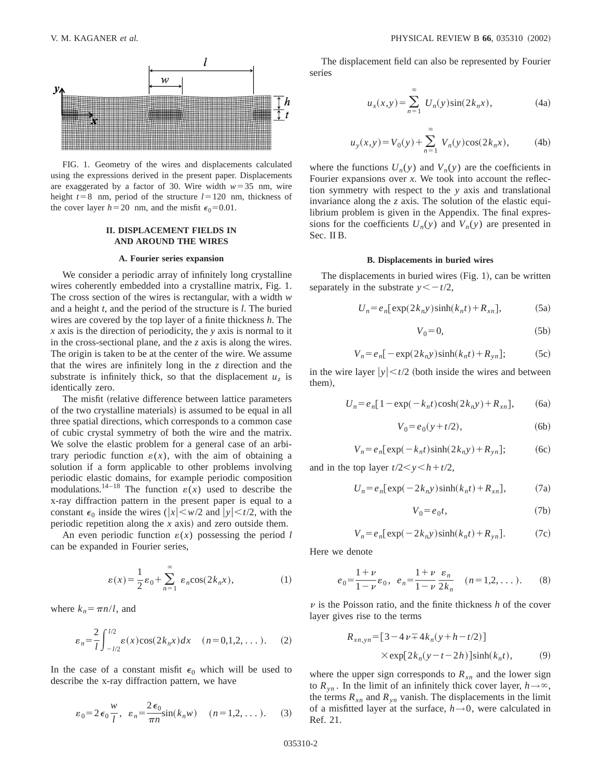

FIG. 1. Geometry of the wires and displacements calculated using the expressions derived in the present paper. Displacements are exaggerated by a factor of 30. Wire width  $w=35$  nm, wire height  $t=8$  nm, period of the structure  $l=120$  nm, thickness of the cover layer  $h=20$  nm, and the misfit  $\epsilon_0=0.01$ .

# **II. DISPLACEMENT FIELDS IN AND AROUND THE WIRES**

### **A. Fourier series expansion**

We consider a periodic array of infinitely long crystalline wires coherently embedded into a crystalline matrix, Fig. 1. The cross section of the wires is rectangular, with a width *w* and a height *t*, and the period of the structure is *l*. The buried wires are covered by the top layer of a finite thickness *h*. The *x* axis is the direction of periodicity, the *y* axis is normal to it in the cross-sectional plane, and the *z* axis is along the wires. The origin is taken to be at the center of the wire. We assume that the wires are infinitely long in the *z* direction and the substrate is infinitely thick, so that the displacement  $u<sub>z</sub>$  is identically zero.

The misfit (relative difference between lattice parameters of the two crystalline materials) is assumed to be equal in all three spatial directions, which corresponds to a common case of cubic crystal symmetry of both the wire and the matrix. We solve the elastic problem for a general case of an arbitrary periodic function  $\varepsilon(x)$ , with the aim of obtaining a solution if a form applicable to other problems involving periodic elastic domains, for example periodic composition modulations.<sup>14–18</sup> The function  $\varepsilon(x)$  used to describe the x-ray diffraction pattern in the present paper is equal to a constant  $\epsilon_0$  inside the wires (|x|  $\lt w/2$  and |y|  $\lt t/2$ , with the periodic repetition along the  $x$  axis) and zero outside them.

An even periodic function  $\varepsilon(x)$  possessing the period *l* can be expanded in Fourier series,

$$
\varepsilon(x) = \frac{1}{2}\varepsilon_0 + \sum_{n=1}^{\infty} \varepsilon_n \cos(2k_n x),
$$
 (1)

where  $k_n = \pi n/l$ , and

$$
\varepsilon_n = \frac{2}{l} \int_{-l/2}^{l/2} \varepsilon(x) \cos(2k_n x) dx \quad (n = 0, 1, 2, ...). \tag{2}
$$

In the case of a constant misfit  $\epsilon_0$  which will be used to describe the x-ray diffraction pattern, we have

$$
\varepsilon_0 = 2\epsilon_0 \frac{w}{l}, \ \varepsilon_n = \frac{2\epsilon_0}{\pi n} \sin(k_n w) \quad (n = 1, 2, \dots).
$$
 (3)

The displacement field can also be represented by Fourier series

$$
u_x(x,y) = \sum_{n=1}^{\infty} U_n(y) \sin(2k_n x),
$$
 (4a)

$$
u_y(x, y) = V_0(y) + \sum_{n=1}^{\infty} V_n(y) \cos(2k_n x),
$$
 (4b)

where the functions  $U_n(y)$  and  $V_n(y)$  are the coefficients in Fourier expansions over *x*. We took into account the reflection symmetry with respect to the *y* axis and translational invariance along the *z* axis. The solution of the elastic equilibrium problem is given in the Appendix. The final expressions for the coefficients  $U_n(y)$  and  $V_n(y)$  are presented in Sec. II B.

## **B. Displacements in buried wires**

The displacements in buried wires  $(Fig. 1)$ , can be written separately in the substrate  $y \le -t/2$ ,

$$
U_n = e_n \left[ \exp(2k_n y) \sinh(k_n t) + R_{xn} \right],
$$
 (5a)

$$
V_0 = 0,\t(5b)
$$

$$
V_n = e_n[-\exp(2k_n y)\sinh(k_n t) + R_{yn}];\tag{5c}
$$

in the wire layer  $|y| \lt t/2$  (both inside the wires and between them),

$$
U_n = e_n [1 - \exp(-k_n t) \cosh(2k_n y) + R_{xn}],
$$
 (6a)

$$
V_0 = e_0(y + t/2),
$$
 (6b)

$$
V_n = e_n \left[ \exp(-k_n t) \sinh(2k_n y) + R_{yn} \right];\tag{6c}
$$

and in the top layer  $t/2 < y < h + t/2$ ,

$$
U_n = e_n \left[ \exp(-2k_n y) \sinh(k_n t) + R_{xn} \right],\tag{7a}
$$

$$
V_0 = e_0 t,\t(7b)
$$

$$
V_n = e_n \left[ \exp(-2k_n y) \sinh(k_n t) + R_{yn} \right].
$$
 (7c)

Here we denote

$$
e_0 = \frac{1+\nu}{1-\nu}\varepsilon_0
$$
,  $e_n = \frac{1+\nu}{1-\nu}\frac{\varepsilon_n}{2k_n}$   $(n = 1, 2, ...).$  (8)

 $\nu$  is the Poisson ratio, and the finite thickness  $h$  of the cover layer gives rise to the terms

$$
R_{xn,yn} = [3 - 4\nu \pm 4k_n(y + h - t/2)]
$$
  
×
$$
\exp[2k_n(y - t - 2h)]\sinh(k_n t),
$$
 (9)

where the upper sign corresponds to  $R_{xn}$  and the lower sign to  $R_{yn}$ . In the limit of an infinitely thick cover layer,  $h \rightarrow \infty$ , the terms  $R_{xn}$  and  $R_{yn}$  vanish. The displacements in the limit of a misfitted layer at the surface,  $h \rightarrow 0$ , were calculated in Ref. 21.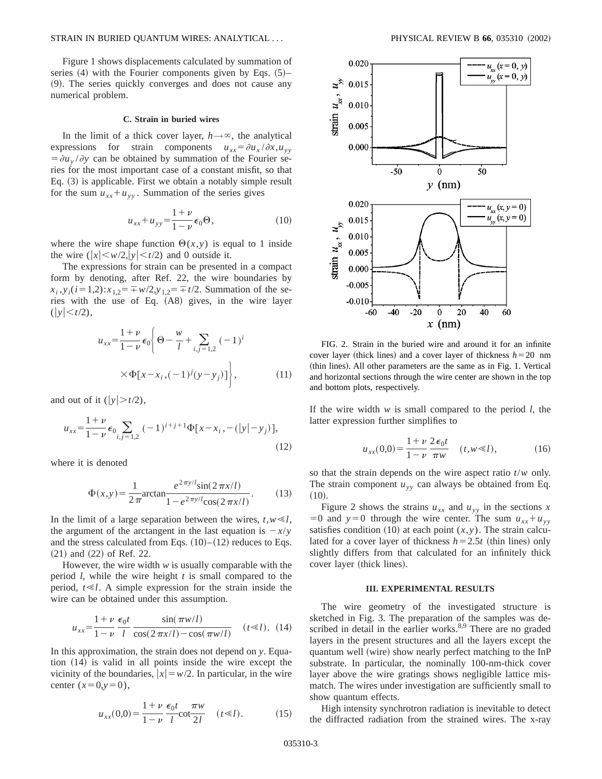## STRAIN IN BURIED QUANTUM WIRES: ANALYTICAL . . . PHYSICAL REVIEW B **66**, 035310 ~2002!

Figure 1 shows displacements calculated by summation of series  $(4)$  with the Fourier components given by Eqs.  $(5)$ –  $(9)$ . The series quickly converges and does not cause any numerical problem.

# **C. Strain in buried wires**

In the limit of a thick cover layer,  $h \rightarrow \infty$ , the analytical expressions for strain components  $u_{xx} = \partial u_x / \partial x, u_{yy}$  $=$  $\partial u_y/\partial y$  can be obtained by summation of the Fourier series for the most important case of a constant misfit, so that Eq.  $(3)$  is applicable. First we obtain a notably simple result for the sum  $u_{xx} + u_{yy}$ . Summation of the series gives

$$
u_{xx} + u_{yy} = \frac{1+\nu}{1-\nu} \epsilon_0 \Theta, \qquad (10)
$$

where the wire shape function  $\Theta(x, y)$  is equal to 1 inside the wire  $(|x| \leq w/2, |y| \leq t/2)$  and 0 outside it.

The expressions for strain can be presented in a compact form by denoting, after Ref. 22, the wire boundaries by  $x_i, y_i$  ( $i=1,2$ ): $x_{1,2} = \pm w/2, y_{1,2} = \pm t/2$ . Summation of the series with the use of Eq. (A8) gives, in the wire layer  $(|y| \le t/2),$ 

$$
u_{xx} = \frac{1+v}{1-v} \epsilon_0 \left\{ \Theta - \frac{w}{l} + \sum_{i,j=1,2} (-1)^i
$$
  
 
$$
\times \Phi[x - x_i, (-1)^j (y - y_j)] \right\},
$$
 (11)

and out of it ( $|y| > t/2$ ),

$$
u_{xx} = \frac{1+\nu}{1-\nu} \epsilon_0 \sum_{i,j=1,2} (-1)^{i+j+1} \Phi[x-x_i, -(|y| - y_j)],
$$
\n(12)

where it is denoted

$$
\Phi(x, y) = \frac{1}{2\pi} \arctan \frac{e^{2\pi y/l} \sin(2\pi x/l)}{1 - e^{2\pi y/l} \cos(2\pi x/l)}.
$$
(13)

In the limit of a large separation between the wires,  $t, w \ll l$ , the argument of the arctangent in the last equation is  $-x/y$ and the stress calculated from Eqs.  $(10)$ – $(12)$  reduces to Eqs.  $(21)$  and  $(22)$  of Ref. 22.

However, the wire width *w* is usually comparable with the period *l*, while the wire height *t* is small compared to the period,  $t \le l$ . A simple expression for the strain inside the wire can be obtained under this assumption.

$$
u_{xx} = \frac{1+\nu}{1-\nu} \frac{\epsilon_0 t}{l} \frac{\sin(\pi w/l)}{\cos(2\pi x/l) - \cos(\pi w/l)} \quad (t \ll l). \tag{14}
$$

In this approximation, the strain does not depend on *y*. Equa- $~14)$  is valid in all points inside the wire except the vicinity of the boundaries,  $|x| = w/2$ . In particular, in the wire center  $(x=0,y=0)$ ,

$$
u_{xx}(0,0) = \frac{1+\nu}{1-\nu} \frac{\epsilon_0 t}{l} \cot \frac{\pi w}{2l} \quad (t \ll l). \tag{15}
$$



FIG. 2. Strain in the buried wire and around it for an infinite cover layer (thick lines) and a cover layer of thickness  $h=20$  nm (thin lines). All other parameters are the same as in Fig. 1. Vertical and horizontal sections through the wire center are shown in the top and bottom plots, respectively.

If the wire width *w* is small compared to the period *l*, the latter expression further simplifies to

$$
u_{xx}(0,0) = \frac{1+\nu}{1-\nu} \frac{2\epsilon_0 t}{\pi w} \quad (t, w \ll l), \tag{16}
$$

so that the strain depends on the wire aspect ratio *t*/*w* only. The strain component  $u_{yy}$  can always be obtained from Eq.  $(10).$ 

Figure 2 shows the strains  $u_{xx}$  and  $u_{yy}$  in the sections  $x$  $=0$  and  $y=0$  through the wire center. The sum  $u_{xx}+u_{yy}$ satisfies condition  $(10)$  at each point  $(x, y)$ . The strain calculated for a cover layer of thickness  $h=2.5t$  (thin lines) only slightly differs from that calculated for an infinitely thick cover layer (thick lines).

#### **III. EXPERIMENTAL RESULTS**

The wire geometry of the investigated structure is sketched in Fig. 3. The preparation of the samples was described in detail in the earlier works.<sup>8,9</sup> There are no graded layers in the present structures and all the layers except the quantum well (wire) show nearly perfect matching to the InP substrate. In particular, the nominally 100-nm-thick cover layer above the wire gratings shows negligible lattice mismatch. The wires under investigation are sufficiently small to show quantum effects.

High intensity synchrotron radiation is inevitable to detect the diffracted radiation from the strained wires. The x-ray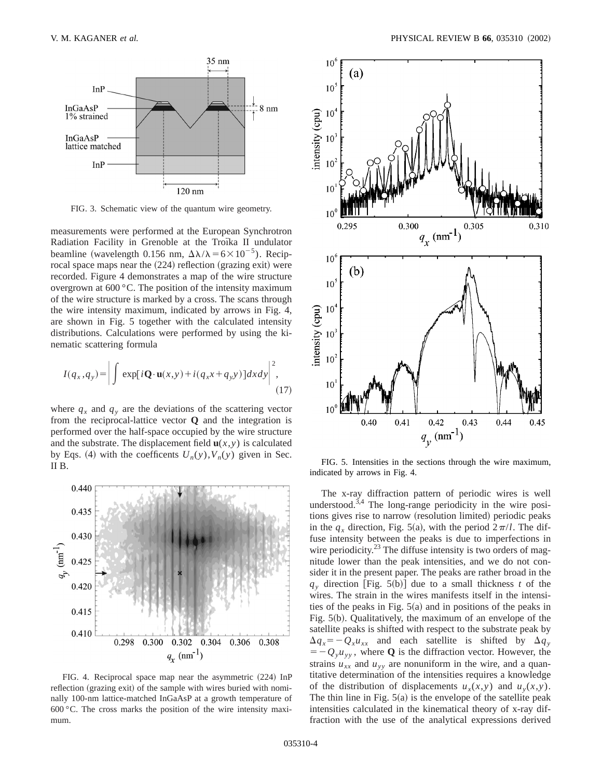

FIG. 3. Schematic view of the quantum wire geometry.

measurements were performed at the European Synchrotron Radiation Facility in Grenoble at the Troika II undulator beamline (wavelength 0.156 nm,  $\Delta \lambda / \lambda = 6 \times 10^{-5}$ ). Reciprocal space maps near the  $(224)$  reflection (grazing exit) were recorded. Figure 4 demonstrates a map of the wire structure overgrown at 600 °C. The position of the intensity maximum of the wire structure is marked by a cross. The scans through the wire intensity maximum, indicated by arrows in Fig. 4, are shown in Fig. 5 together with the calculated intensity distributions. Calculations were performed by using the kinematic scattering formula

$$
I(q_x, q_y) = \left| \int \exp[i\mathbf{Q}\cdot\mathbf{u}(x, y) + i(q_x x + q_y y)] dx dy \right|^2,
$$
\n(17)

where  $q_x$  and  $q_y$  are the deviations of the scattering vector from the reciprocal-lattice vector **Q** and the integration is performed over the half-space occupied by the wire structure and the substrate. The displacement field  $\mathbf{u}(x, y)$  is calculated by Eqs. (4) with the coefficents  $U_n(y)$ ,  $V_n(y)$  given in Sec. II B.



FIG. 4. Reciprocal space map near the asymmetric  $(224)$  InP reflection (grazing exit) of the sample with wires buried with nominally 100-nm lattice-matched InGaAsP at a growth temperature of 600 °C. The cross marks the position of the wire intensity maximum.



FIG. 5. Intensities in the sections through the wire maximum, indicated by arrows in Fig. 4.

The x-ray diffraction pattern of periodic wires is well understood. $3,4$  The long-range periodicity in the wire positions gives rise to narrow (resolution limited) periodic peaks in the  $q_x$  direction, Fig. 5(a), with the period  $2\pi/l$ . The diffuse intensity between the peaks is due to imperfections in wire periodicity. $2<sup>3</sup>$  The diffuse intensity is two orders of magnitude lower than the peak intensities, and we do not consider it in the present paper. The peaks are rather broad in the  $q_y$  direction [Fig. 5(b)] due to a small thickness *t* of the wires. The strain in the wires manifests itself in the intensities of the peaks in Fig.  $5(a)$  and in positions of the peaks in Fig.  $5(b)$ . Qualitatively, the maximum of an envelope of the satellite peaks is shifted with respect to the substrate peak by  $\Delta q_x = -Q_x u_{xx}$  and each satellite is shifted by  $\Delta q_y$  $= -Q_y u_{yy}$ , where **Q** is the diffraction vector. However, the strains  $u_{xx}$  and  $u_{yy}$  are nonuniform in the wire, and a quantitative determination of the intensities requires a knowledge of the distribution of displacements  $u_x(x, y)$  and  $u_y(x, y)$ . The thin line in Fig.  $5(a)$  is the envelope of the satellite peak intensities calculated in the kinematical theory of x-ray diffraction with the use of the analytical expressions derived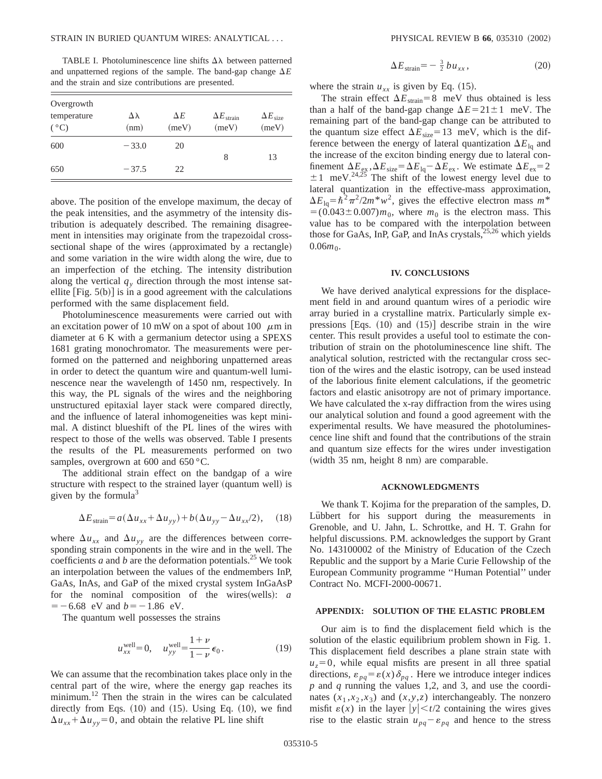TABLE I. Photoluminescence line shifts  $\Delta \lambda$  between patterned and unpatterned regions of the sample. The band-gap change  $\Delta E$ and the strain and size contributions are presented.

| Overgrowth<br>temperature<br>$(^{\circ}C)$ | Δλ<br>(nm) | $\Delta E$<br>(meV) | $\Delta E_{\text{strain}}$<br>(meV) | $\Delta E_{\mathrm{size}}$<br>(meV) |
|--------------------------------------------|------------|---------------------|-------------------------------------|-------------------------------------|
| 600                                        | $-33.0$    | 20                  | 8                                   | 13                                  |
| 650                                        | $-37.5$    | 22                  |                                     |                                     |

above. The position of the envelope maximum, the decay of the peak intensities, and the asymmetry of the intensity distribution is adequately described. The remaining disagreement in intensities may originate from the trapezoidal crosssectional shape of the wires (approximated by a rectangle) and some variation in the wire width along the wire, due to an imperfection of the etching. The intensity distribution along the vertical  $q<sub>y</sub>$  direction through the most intense satellite  $[Fig. 5(b)]$  is in a good agreement with the calculations performed with the same displacement field.

Photoluminescence measurements were carried out with an excitation power of 10 mW on a spot of about 100  $\mu$ m in diameter at 6 K with a germanium detector using a SPEXS 1681 grating monochromator. The measurements were performed on the patterned and neighboring unpatterned areas in order to detect the quantum wire and quantum-well luminescence near the wavelength of 1450 nm, respectively. In this way, the PL signals of the wires and the neighboring unstructured epitaxial layer stack were compared directly, and the influence of lateral inhomogeneities was kept minimal. A distinct blueshift of the PL lines of the wires with respect to those of the wells was observed. Table I presents the results of the PL measurements performed on two samples, overgrown at 600 and 650 $\degree$ C.

The additional strain effect on the bandgap of a wire structure with respect to the strained layer (quantum well) is given by the formula $\delta$ 

$$
\Delta E_{\text{strain}} = a(\Delta u_{xx} + \Delta u_{yy}) + b(\Delta u_{yy} - \Delta u_{xx}/2), \quad (18)
$$

where  $\Delta u_{xx}$  and  $\Delta u_{yy}$  are the differences between corresponding strain components in the wire and in the well. The coefficients *a* and *b* are the deformation potentials.<sup>25</sup> We took an interpolation between the values of the endmembers InP, GaAs, InAs, and GaP of the mixed crystal system InGaAsP for the nominal composition of the wires (wells):  $a$  $=$  -6.68 eV and *b* = -1.86 eV.

The quantum well possesses the strains

$$
u_{xx}^{\text{well}} = 0, \quad u_{yy}^{\text{well}} = \frac{1+\nu}{1-\nu} \epsilon_0.
$$
 (19)

We can assume that the recombination takes place only in the central part of the wire, where the energy gap reaches its minimum.<sup>12</sup> Then the strain in the wires can be calculated directly from Eqs.  $(10)$  and  $(15)$ . Using Eq.  $(10)$ , we find  $\Delta u_{xx} + \Delta u_{yy} = 0$ , and obtain the relative PL line shift

$$
\Delta E_{\text{strain}} = -\frac{3}{2} b u_{xx},\qquad(20)
$$

where the strain  $u_{xx}$  is given by Eq. (15).

The strain effect  $\Delta E_{\text{strain}}=8$  meV thus obtained is less than a half of the band-gap change  $\Delta E = 21 \pm 1$  meV. The remaining part of the band-gap change can be attributed to the quantum size effect  $\Delta E_{\text{size}}=13$  meV, which is the difference between the energy of lateral quantization  $\Delta E_{1a}$  and the increase of the exciton binding energy due to lateral confinement  $\Delta E_{\text{ex}}$ ,  $\Delta E_{\text{size}} = \Delta E_{\text{1q}} - \Delta E_{\text{ex}}$ . We estimate  $\Delta E_{\text{ex}} = 2$  $\pm 1$  meV.<sup>24,25</sup> The shift of the lowest energy level due to lateral quantization in the effective-mass approximation,  $\Delta E_{10} = \hbar^2 \pi^2 / 2m^* w^2$ , gives the effective electron mass  $m^*$  $=$ (0.043±0.007) $m_0$ , where  $m_0$  is the electron mass. This value has to be compared with the interpolation between those for GaAs, InP, GaP, and InAs crystals, $25,26$  which yields  $0.06m_0$ .

#### **IV. CONCLUSIONS**

We have derived analytical expressions for the displacement field in and around quantum wires of a periodic wire array buried in a crystalline matrix. Particularly simple expressions  $[Eqs. (10)$  and  $(15)]$  describe strain in the wire center. This result provides a useful tool to estimate the contribution of strain on the photoluminescence line shift. The analytical solution, restricted with the rectangular cross section of the wires and the elastic isotropy, can be used instead of the laborious finite element calculations, if the geometric factors and elastic anisotropy are not of primary importance. We have calculated the x-ray diffraction from the wires using our analytical solution and found a good agreement with the experimental results. We have measured the photoluminescence line shift and found that the contributions of the strain and quantum size effects for the wires under investigation  $(width 35 nm, height 8 nm)$  are comparable.

### **ACKNOWLEDGMENTS**

We thank T. Kojima for the preparation of the samples, D. Lübbert for his support during the measurements in Grenoble, and U. Jahn, L. Schrottke, and H. T. Grahn for helpful discussions. P.M. acknowledges the support by Grant No. 143100002 of the Ministry of Education of the Czech Republic and the support by a Marie Curie Fellowship of the European Community programme ''Human Potential'' under Contract No. MCFI-2000-00671.

## **APPENDIX: SOLUTION OF THE ELASTIC PROBLEM**

Our aim is to find the displacement field which is the solution of the elastic equilibrium problem shown in Fig. 1. This displacement field describes a plane strain state with  $u<sub>z</sub>=0$ , while equal misfits are present in all three spatial directions,  $\varepsilon_{pq} = \varepsilon(x) \delta_{pq}$ . Here we introduce integer indices *p* and *q* running the values 1,2, and 3, and use the coordinates  $(x_1, x_2, x_3)$  and  $(x, y, z)$  interchangeably. The nonzero misfit  $\varepsilon(x)$  in the layer  $|y| \le t/2$  containing the wires gives rise to the elastic strain  $u_{pq} - \varepsilon_{pq}$  and hence to the stress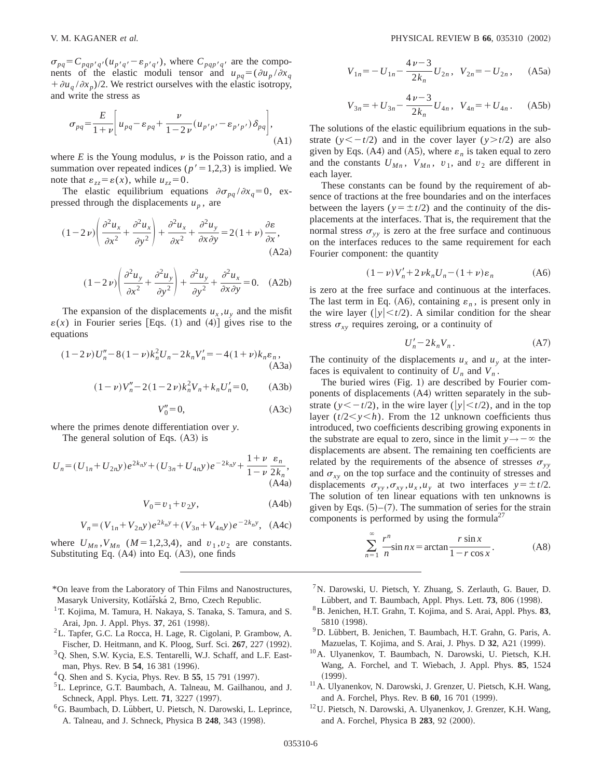$\sigma_{pq} = C_{pqp'q'}(u_{p'q'} - \varepsilon_{p'q'})$ , where  $C_{pqp'q'}$  are the components of the elastic moduli tensor and  $u_{pq} = (\partial u_p / \partial x_q)$  $\partial^2 u_a/\partial x_p/2$ . We restrict ourselves with the elastic isotropy, and write the stress as

$$
\sigma_{pq} = \frac{E}{1+\nu} \left[ u_{pq} - \varepsilon_{pq} + \frac{\nu}{1-2\nu} (u_{p'p'} - \varepsilon_{p'p'}) \delta_{pq} \right],
$$
\n(A1)

where  $E$  is the Young modulus,  $\nu$  is the Poisson ratio, and a summation over repeated indices ( $p' = 1,2,3$ ) is implied. We note that  $\varepsilon_{zz} = \varepsilon(x)$ , while  $u_{zz} = 0$ .

The elastic equilibrium equations  $\partial \sigma_{pq}/\partial x_q = 0$ , expressed through the displacements  $u_p$ , are

$$
(1 - 2\nu) \left( \frac{\partial^2 u_x}{\partial x^2} + \frac{\partial^2 u_x}{\partial y^2} \right) + \frac{\partial^2 u_x}{\partial x^2} + \frac{\partial^2 u_y}{\partial x \partial y} = 2(1 + \nu) \frac{\partial \varepsilon}{\partial x},
$$
\n(A2a)

$$
(1 - 2\nu)\left(\frac{\partial^2 u_y}{\partial x^2} + \frac{\partial^2 u_y}{\partial y^2}\right) + \frac{\partial^2 u_y}{\partial y^2} + \frac{\partial^2 u_x}{\partial x \partial y} = 0. \quad \text{(A2b)}
$$

The expansion of the displacements  $u_x$ ,  $u_y$  and the misfit  $\varepsilon(x)$  in Fourier series [Eqs. (1) and (4)] gives rise to the equations

$$
(1-2\nu)U''_n - 8(1-\nu)k_n^2 U_n - 2k_n V'_n = -4(1+\nu)k_n \varepsilon_n,
$$
\n(A3a)

$$
(1 - \nu)V''_n - 2(1 - 2\nu)k_n^2V_n + k_nU'_n = 0,
$$
 (A3b)

$$
V_0'' = 0,\tag{A3c}
$$

where the primes denote differentiation over *y*.

The general solution of Eqs.  $(A3)$  is

$$
U_n = (U_{1n} + U_{2n}y)e^{2k_n y} + (U_{3n} + U_{4n}y)e^{-2k_n y} + \frac{1+\nu}{1-\nu}\frac{\varepsilon_n}{2k_n},
$$
\n(A4a)

$$
V_0 = v_1 + v_2 y, \t(A4b)
$$

$$
V_n = (V_{1n} + V_{2n}y)e^{2k_n y} + (V_{3n} + V_{4n}y)e^{-2k_n y}, \quad (A4c)
$$

where  $U_{Mn}$ ,  $V_{Mn}$  ( $M=1,2,3,4$ ), and  $v_1$ ,  $v_2$  are constants. Substituting Eq.  $(A4)$  into Eq.  $(A3)$ , one finds

\*On leave from the Laboratory of Thin Films and Nanostructures, Masaryk University, Kotlářská 2, Brno, Czech Republic.

- <sup>1</sup>T. Kojima, M. Tamura, H. Nakaya, S. Tanaka, S. Tamura, and S. Arai, Jpn. J. Appl. Phys. 37, 261 (1998).
- 2L. Tapfer, G.C. La Rocca, H. Lage, R. Cigolani, P. Grambow, A. Fischer, D. Heitmann, and K. Ploog, Surf. Sci. 267, 227 (1992).
- 3Q. Shen, S.W. Kycia, E.S. Tentarelli, W.J. Schaff, and L.F. Eastman, Phys. Rev. B 54, 16 381 (1996).
- <sup>4</sup>Q. Shen and S. Kycia, Phys. Rev. B 55, 15 791 (1997).
- 5L. Leprince, G.T. Baumbach, A. Talneau, M. Gailhanou, and J. Schneck, Appl. Phys. Lett. **71**, 3227 (1997).
- ${}^{6}$ G. Baumbach, D. Lübbert, U. Pietsch, N. Darowski, L. Leprince, A. Talneau, and J. Schneck, Physica B **248**, 343 (1998).

$$
V_{1n} = -U_{1n} - \frac{4\nu - 3}{2k_n} U_{2n}, \quad V_{2n} = -U_{2n}, \quad \text{(A5a)}
$$

$$
V_{3n} = + U_{3n} - \frac{4\nu - 3}{2k_n} U_{4n}, \quad V_{4n} = + U_{4n}.
$$
 (A5b)

The solutions of the elastic equilibrium equations in the substrate ( $y \leq t/2$ ) and in the cover layer ( $y \geq t/2$ ) are also given by Eqs. (A4) and (A5), where  $\varepsilon_n$  is taken equal to zero and the constants  $U_{Mn}$ ,  $V_{Mn}$ ,  $v_1$ , and  $v_2$  are different in each layer.

These constants can be found by the requirement of absence of tractions at the free boundaries and on the interfaces between the layers ( $y = \pm t/2$ ) and the continuity of the displacements at the interfaces. That is, the requirement that the normal stress  $\sigma_{yy}$  is zero at the free surface and continuous on the interfaces reduces to the same requirement for each Fourier component: the quantity

$$
(1 - \nu)V'_n + 2\nu k_n U_n - (1 + \nu)\varepsilon_n \tag{A6}
$$

is zero at the free surface and continuous at the interfaces. The last term in Eq. (A6), containing  $\varepsilon_n$ , is present only in the wire layer ( $|y| \lt t/2$ ). A similar condition for the shear stress  $\sigma_{xy}$  requires zeroing, or a continuity of

$$
U'_n - 2k_n V_n. \tag{A7}
$$

The continuity of the displacements  $u_x$  and  $u_y$  at the interfaces is equivalent to continuity of  $U_n$  and  $V_n$ .

The buried wires  $(Fig. 1)$  are described by Fourier components of displacements  $(A4)$  written separately in the substrate ( $y \leq t/2$ ), in the wire layer (| $y$ | $\leq t/2$ ), and in the top layer  $(t/2 < y < h)$ . From the 12 unknown coefficients thus introduced, two coefficients describing growing exponents in the substrate are equal to zero, since in the limit  $y \rightarrow -\infty$  the displacements are absent. The remaining ten coefficients are related by the requirements of the absence of stresses  $\sigma_{yy}$ and  $\sigma_{xy}$  on the top surface and the continuity of stresses and displacements  $\sigma_{yy}$ ,  $\sigma_{xy}$ ,  $u_x$ ,  $u_y$  at two interfaces  $y = \pm t/2$ . The solution of ten linear equations with ten unknowns is given by Eqs.  $(5)$ – $(7)$ . The summation of series for the strain components is performed by using the formula<sup>27</sup>

$$
\sum_{n=1}^{\infty} \frac{r^n}{n} \sin nx = \arctan \frac{r \sin x}{1 - r \cos x}.
$$
 (A8)

- ${}^{7}$ N. Darowski, U. Pietsch, Y. Zhuang, S. Zerlauth, G. Bauer, D. Lübbert, and T. Baumbach, Appl. Phys. Lett. **73**, 806 (1998).
- 8B. Jenichen, H.T. Grahn, T. Kojima, and S. Arai, Appl. Phys. **83**, 5810 (1998).
- <sup>9</sup>D. Lübbert, B. Jenichen, T. Baumbach, H.T. Grahn, G. Paris, A. Mazuelas, T. Kojima, and S. Arai, J. Phys. D 32, A21 (1999).
- 10A. Ulyanenkov, T. Baumbach, N. Darowski, U. Pietsch, K.H. Wang, A. Forchel, and T. Wiebach, J. Appl. Phys. **85**, 1524  $(1999).$
- <sup>11</sup> A. Ulyanenkov, N. Darowski, J. Grenzer, U. Pietsch, K.H. Wang, and A. Forchel, Phys. Rev. B 60, 16 701 (1999).
- 12U. Pietsch, N. Darowski, A. Ulyanenkov, J. Grenzer, K.H. Wang, and A. Forchel, Physica B 283, 92 (2000).